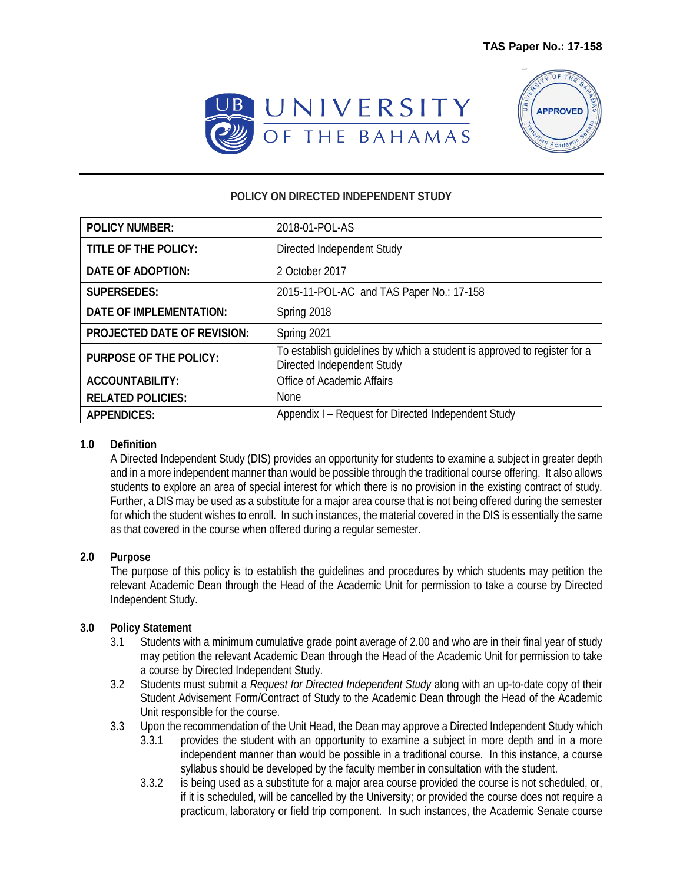



## **POLICY ON DIRECTED INDEPENDENT STUDY**

| <b>POLICY NUMBER:</b>              | 2018-01-POL-AS                                                                                         |
|------------------------------------|--------------------------------------------------------------------------------------------------------|
| TITLE OF THE POLICY:               | Directed Independent Study                                                                             |
| DATE OF ADOPTION:                  | 2 October 2017                                                                                         |
| <b>SUPERSEDES:</b>                 | 2015-11-POL-AC and TAS Paper No.: 17-158                                                               |
| <b>DATE OF IMPLEMENTATION:</b>     | Spring 2018                                                                                            |
| <b>PROJECTED DATE OF REVISION:</b> | Spring 2021                                                                                            |
| <b>PURPOSE OF THE POLICY:</b>      | To establish quidelines by which a student is approved to register for a<br>Directed Independent Study |
| <b>ACCOUNTABILITY:</b>             | Office of Academic Affairs                                                                             |
| <b>RELATED POLICIES:</b>           | <b>None</b>                                                                                            |
| <b>APPENDICES:</b>                 | Appendix I – Request for Directed Independent Study                                                    |

## **1.0 Definition**

A Directed Independent Study (DIS) provides an opportunity for students to examine a subject in greater depth and in a more independent manner than would be possible through the traditional course offering. It also allows students to explore an area of special interest for which there is no provision in the existing contract of study. Further, a DIS may be used as a substitute for a major area course that is not being offered during the semester for which the student wishes to enroll. In such instances, the material covered in the DIS is essentially the same as that covered in the course when offered during a regular semester.

## **2.0 Purpose**

The purpose of this policy is to establish the guidelines and procedures by which students may petition the relevant Academic Dean through the Head of the Academic Unit for permission to take a course by Directed Independent Study.

## **3.0 Policy Statement**

- 3.1 Students with a minimum cumulative grade point average of 2.00 and who are in their final year of study may petition the relevant Academic Dean through the Head of the Academic Unit for permission to take a course by Directed Independent Study.
- 3.2 Students must submit a *Request for Directed Independent Study* along with an up-to-date copy of their Student Advisement Form/Contract of Study to the Academic Dean through the Head of the Academic Unit responsible for the course.
- 3.3 Upon the recommendation of the Unit Head, the Dean may approve a Directed Independent Study which
	- 3.3.1 provides the student with an opportunity to examine a subject in more depth and in a more independent manner than would be possible in a traditional course. In this instance, a course syllabus should be developed by the faculty member in consultation with the student.
	- 3.3.2 is being used as a substitute for a major area course provided the course is not scheduled, or, if it is scheduled, will be cancelled by the University; or provided the course does not require a practicum, laboratory or field trip component. In such instances, the Academic Senate course